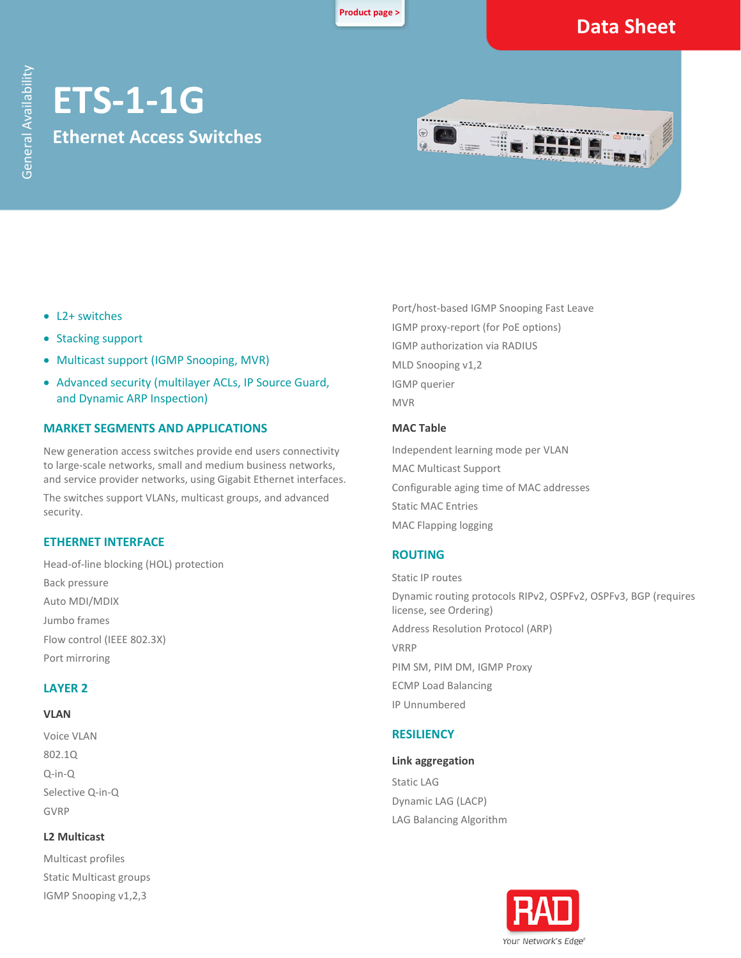**[Product page >](https://www.rad.com/products/ETS-1-Ethernet-access-switches#page1)**

# **Data Sheet**

# **ETS-1-1G Ethernet Access Switches**



- L2+ switches
- Stacking support
- Multicast support (IGMP Snooping, MVR)
- Advanced security (multilayer ACLs, IP Source Guard, and Dynamic ARP Inspection)

#### **MARKET SEGMENTS AND APPLICATIONS**

New generation access switches provide end users connectivity to large-scale networks, small and medium business networks, and service provider networks, using Gigabit Ethernet interfaces.

The switches support VLANs, multicast groups, and advanced security.

#### **ETHERNET INTERFACE**

Head-of-line blocking (HOL) protection Back pressure Auto MDI/MDIX Jumbo frames Flow control (IEEE 802.3X) Port mirroring

#### **LAYER 2**

#### **VLAN**

Voice VLAN 802.1Q Q-in-Q Selective Q-in-Q GVRP

#### **L2 Multicast**

Multicast profiles Static Multicast groups IGMP Snooping v1,2,3

Port/host-based IGMP Snooping Fast Leave IGMP proxy-report (for PoE options) IGMP authorization via RADIUS MLD Snooping v1,2 IGMP querier MVR

#### **MAC Table**

Independent learning mode per VLAN MAC Multicast Support Configurable aging time of MAC addresses Static MAC Entries MAC Flapping logging

#### **ROUTING**

Static IP routes Dynamic routing protocols RIPv2, OSPFv2, OSPFv3, BGP (requires license, see Ordering) Address Resolution Protocol (ARP) VRRP PIM SM, PIM DM, IGMP Proxy ECMP Load Balancing IP Unnumbered

#### **RESILIENCY**

#### **Link aggregation**

Static LAG Dynamic LAG (LACP) LAG Balancing Algorithm

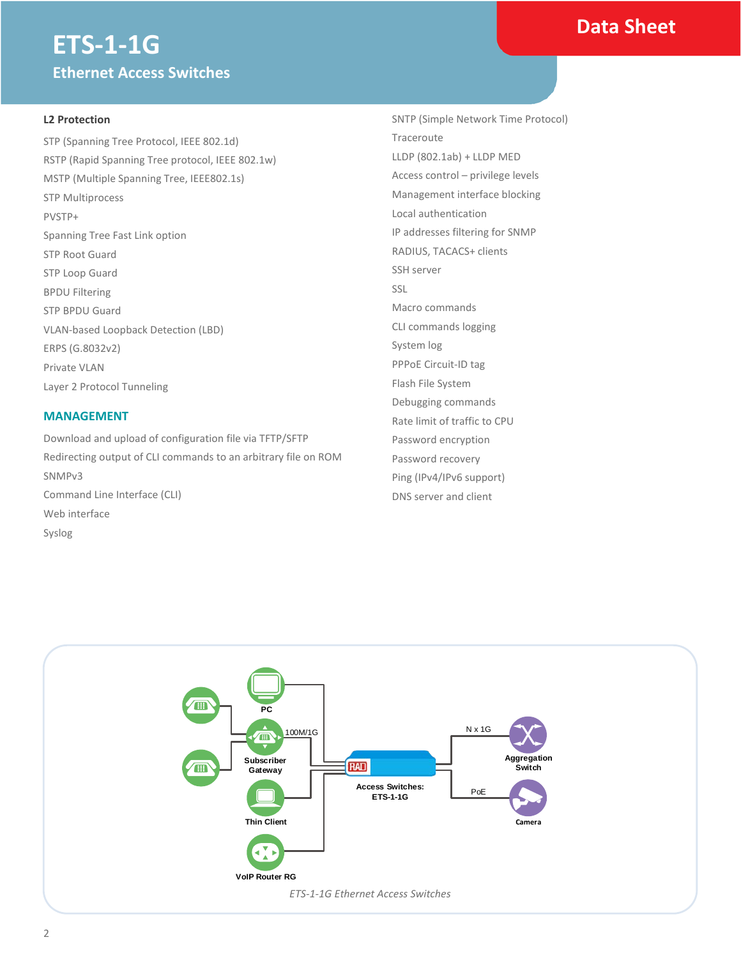### **Data Sheet**

# **ETS-1-1G Ethernet Access Switches**

#### **L2 Protection**

STP (Spanning Tree Protocol, IEEE 802.1d) RSTP (Rapid Spanning Tree protocol, IEEE 802.1w) MSTP (Multiple Spanning Tree, IEEE802.1s) STP Multiprocess PVSTP+ Spanning Tree Fast Link option STP Root Guard STP Loop Guard BPDU Filtering STP BPDU Guard VLAN-based Loopback Detection (LBD) ERPS (G.8032v2) Private VLAN Layer 2 Protocol Tunneling

#### **MANAGEMENT**

Download and upload of configuration file via TFTP/SFTP Redirecting output of CLI commands to an arbitrary file on ROM SNMPv3 Command Line Interface (CLI) Web interface Syslog

SNTP (Simple Network Time Protocol) Traceroute LLDP (802.1ab) + LLDP MED Access control – privilege levels Management interface blocking Local authentication IP addresses filtering for SNMP RADIUS, TACACS+ clients SSH server SSL Macro commands CLI commands logging System log PPPoE Circuit-ID tag Flash File System Debugging commands Rate limit of traffic to CPU Password encryption Password recovery Ping (IPv4/IPv6 support) DNS server and client

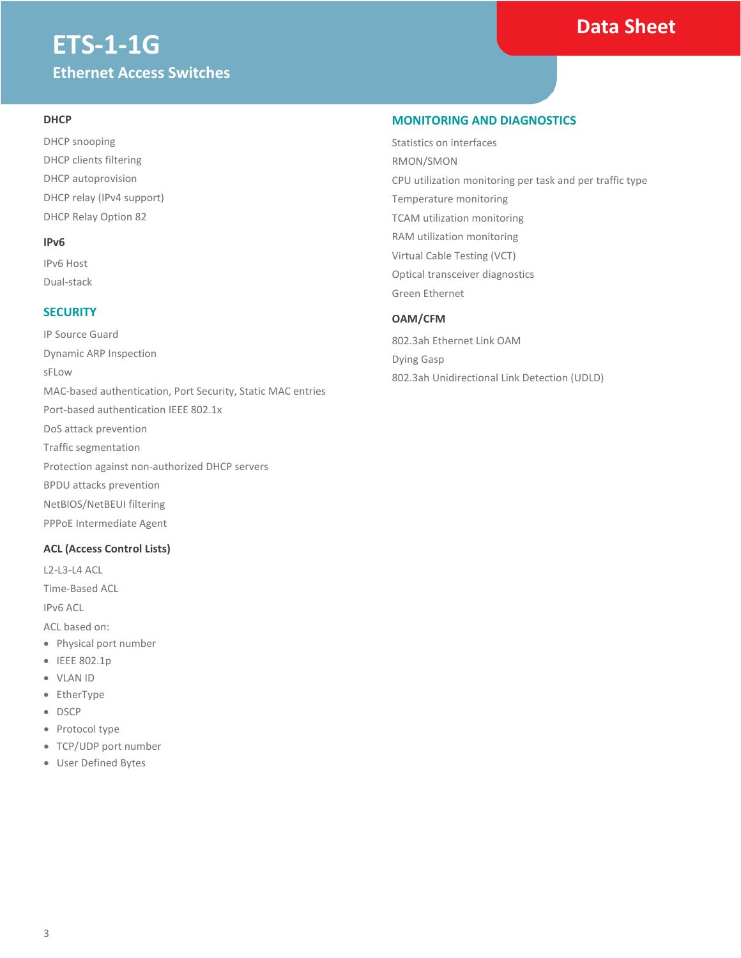# **ETS-1-1G Ethernet Access Switches**

# **Data Sheet**

#### **DHCP**

DHCP snooping DHCP clients filtering DHCP autoprovision DHCP relay (IPv4 support) DHCP Relay Option 82

#### **IPv6**

IPv6 Host Dual-stack

#### **SECURITY**

IP Source Guard Dynamic ARP Inspection sFLow MAC-based authentication, Port Security, Static MAC entries Port-based authentication IEEE 802.1x DoS attack prevention Traffic segmentation Protection against non-authorized DHCP servers BPDU attacks prevention NetBIOS/NetBEUI filtering PPPoE Intermediate Agent

#### **ACL (Access Control Lists)**

L2-L3-L4 ACL

Time-Based ACL

IPv6 ACL

ACL based on:

- Physical port number
- IEEE 802.1p
- VLAN ID
- EtherType
- DSCP
- Protocol type
- TCP/UDP port number
- User Defined Bytes

#### **MONITORING AND DIAGNOSTICS**

Statistics on interfaces RMON/SMON CPU utilization monitoring per task and per traffic type Temperature monitoring TCAM utilization monitoring RAM utilization monitoring Virtual Cable Testing (VCT) Optical transceiver diagnostics Green Ethernet

#### **OAM/CFM**

802.3ah Ethernet Link OAM Dying Gasp 802.3ah Unidirectional Link Detection (UDLD)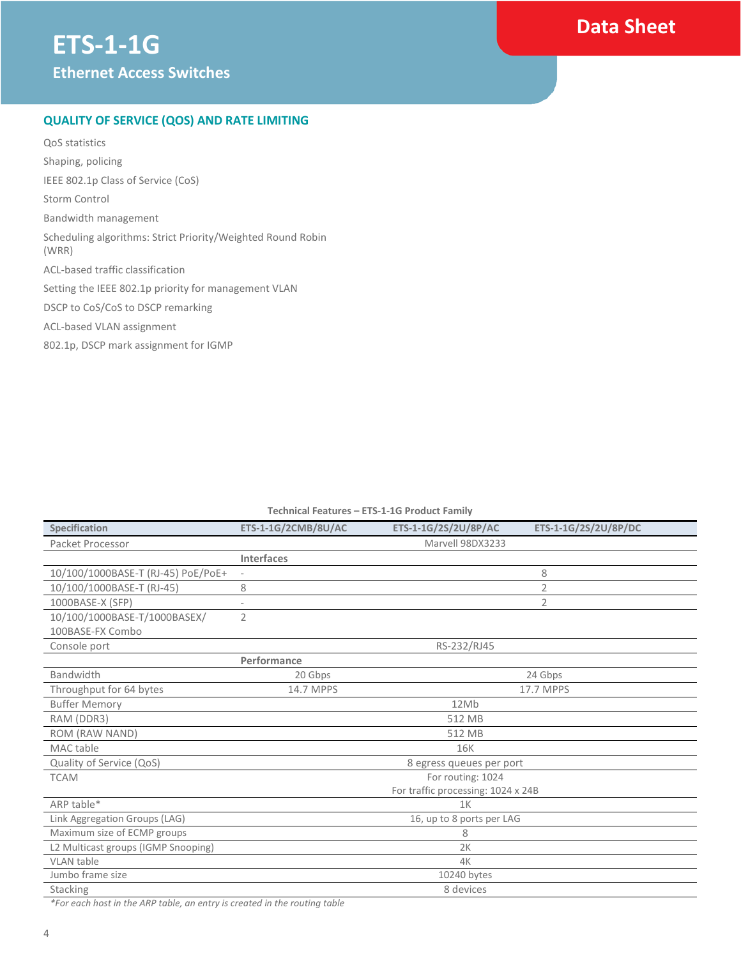### **Data Sheet**

#### **QUALITY OF SERVICE (QOS) AND RATE LIMITING**

QoS statistics Shaping, policing IEEE 802.1p Class of Service (CoS) Storm Control Bandwidth management Scheduling algorithms: Strict Priority/Weighted Round Robin (WRR) ACL-based traffic classification Setting the IEEE 802.1p priority for management VLAN DSCP to CoS/CoS to DSCP remarking ACL-based VLAN assignment 802.1p, DSCP mark assignment for IGMP

#### **Technical Features – ETS-1-1G Product Family**

| <b>Specification</b>                | ETS-1-1G/2CMB/8U/AC       | ETS-1-1G/2S/2U/8P/AC               | ETS-1-1G/2S/2U/8P/DC |
|-------------------------------------|---------------------------|------------------------------------|----------------------|
| Packet Processor                    | Marvell 98DX3233          |                                    |                      |
|                                     | <b>Interfaces</b>         |                                    |                      |
| 10/100/1000BASE-T (RJ-45) PoE/PoE+  |                           |                                    | 8                    |
| 10/100/1000BASE-T (RJ-45)           | 8                         |                                    | 2                    |
| 1000BASE-X (SFP)                    |                           |                                    | 2                    |
| 10/100/1000BASE-T/1000BASEX/        | $\overline{2}$            |                                    |                      |
| 100BASE-FX Combo                    |                           |                                    |                      |
| Console port                        | RS-232/RJ45               |                                    |                      |
|                                     | Performance               |                                    |                      |
| Bandwidth                           | 20 Gbps                   |                                    | 24 Gbps              |
| Throughput for 64 bytes             | 14.7 MPPS                 |                                    | 17.7 MPPS            |
| <b>Buffer Memory</b>                | 12Mb                      |                                    |                      |
| RAM (DDR3)                          | 512 MB                    |                                    |                      |
| ROM (RAW NAND)                      | 512 MB                    |                                    |                      |
| MAC table                           | <b>16K</b>                |                                    |                      |
| Quality of Service (QoS)            | 8 egress queues per port  |                                    |                      |
| <b>TCAM</b>                         | For routing: 1024         |                                    |                      |
|                                     |                           | For traffic processing: 1024 x 24B |                      |
| ARP table*                          | 1 <sub>K</sub>            |                                    |                      |
| Link Aggregation Groups (LAG)       | 16, up to 8 ports per LAG |                                    |                      |
| Maximum size of ECMP groups         | 8                         |                                    |                      |
| L2 Multicast groups (IGMP Snooping) | 2K                        |                                    |                      |
| <b>VLAN</b> table                   | 4K                        |                                    |                      |
| Jumbo frame size                    | 10240 bytes               |                                    |                      |
| Stacking                            | 8 devices                 |                                    |                      |

*\*For each host in the ARP table, an entry is created in the routing table*